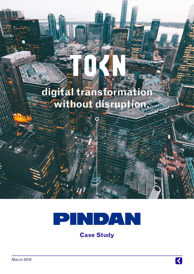# **digital transformation without disruption.**



**Case Study**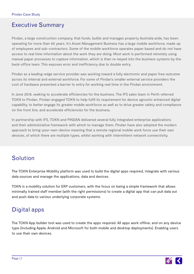#### Executive Summary

Pindan, a large construction company, that funds, builds and manages property Australia wide, has been operating for more than 40 years. It's Asset Management Business has a large mobile workforce, made up of employees and sub-contractors. Some of the mobile workforce operates paper based and do not have access to real time information about the work they are doing. Most work is performed remotely using manual paper processes to capture information, which is then re-keyed into the business systems by the back-office team. This exposes error and inefficiency due to double entry.

Pindan as a leading-edge service provider was working toward a fully electronic and paper free outcome across its internal and external workforce. For some of Pindan's smaller external service providers the cost of hardware presented a barrier to entry for working real time in the Pindan environment.

In June 2018, seeking to accelerate efficiencies for the business. The IFS sales team in Perth referred TOKN to Pindan. Pindan engaged TOKN to help fulfil its requirement for device agnostic enhanced digital capability, to better engage its greater mobile workforce as well as to drive greater safety and compliance on the front line, and accelerate efficiencies for the business.

In partnership with IFS, TOKN and PINDAN delivered several fully integrated enterprise applications and their administrative framework with which to manage them. Pindan have also adopted the modern approach to bring-your-own-device meaning that a remote regional mobile work force use their own devices, of which there are multiple types, whilst working with intermittent network connectivity.

# Solution

The TOKN Enterprise Mobility platform was used to build the digital apps required, integrate with various data sources and manage the applications, data and devices.

TOKN is a mobility solution for ERP customers, with the focus on being a simple framework that allows minimally trained staff member (with the right permissions) to create a digital app that can pull data out and push data to various underlying corporate systems.

# Digital apps

The TOKN App builder tool was used to create the apps required. All apps work offline, and on any device type (including Apple, Android and Microsoft for both mobile and desktop deployments). Enabling users to use their own devices.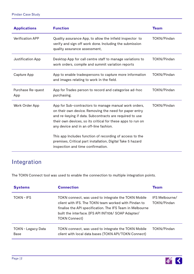| <b>Applications</b>      | <b>Function</b>                                                                                                                                                                                                                                                                     | Team               |
|--------------------------|-------------------------------------------------------------------------------------------------------------------------------------------------------------------------------------------------------------------------------------------------------------------------------------|--------------------|
| <b>Verification APP</b>  | Quality assurance App, to allow the infield inspector to<br>verify and sign off work done. Including the submission<br>quality assurance assessment,                                                                                                                                | <b>TOKN/Pindan</b> |
| Justification App        | Desktop App for call centre staff to manage variations to<br>work orders, compile and summit variation reports                                                                                                                                                                      | <b>TOKN/Pindan</b> |
| Capture App              | App to enable tradespersons to capture more information<br>and images relating to work in the field.                                                                                                                                                                                | <b>TOKN/Pindan</b> |
| Purchase Re-quest<br>App | App for Trades person to record and categorise ad-hoc<br>purchasing.                                                                                                                                                                                                                | <b>TOKN/Pindan</b> |
| Work Order App           | App for Sub-contractors to manage manual work orders,<br>on their own device. Removing the need for paper entry<br>and re-keying if data. Subcontracts are required to use<br>their own devices, so its critical for these apps to run on<br>any device and in an off-line fashion. | <b>TOKN/Pindan</b> |
|                          | This app Includes function of recording of access to the<br>premises, Critical part installation, Digital Take 5 hazard<br>inspection and time confirmation.                                                                                                                        |                    |

## Integration

The TOKN Connect tool was used to enable the connection to multiple integration points.

| <b>Systems</b>             | <b>Connection</b>                                                                                                                                                                                                                                       | <b>Team</b>                                 |
|----------------------------|---------------------------------------------------------------------------------------------------------------------------------------------------------------------------------------------------------------------------------------------------------|---------------------------------------------|
| <b>TOKN-IFS</b>            | TOKN connect, was used to integrate the TOKN Mobile<br>client with IFS. The TOKN team worked with Pindan to<br>finalise the API specification. The IFS Team in Melbourne<br>built the interface. (IFS API INT108/ SOAP Adapter/<br><b>TOKN Connect)</b> | <b>IFS Melbourne/</b><br><b>TOKN/Pindan</b> |
| TOKN - Legacy Data<br>Base | TOKN connect, was used to integrate the TOKN Mobile<br>client with local data bases (TOKN API/TOKN Connect)                                                                                                                                             | <b>TOKN/Pindan</b>                          |